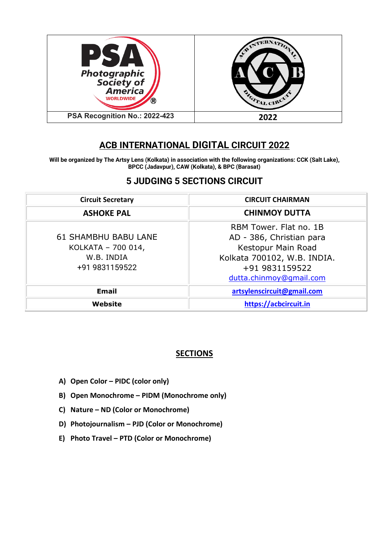

# **ACB INTERNATIONAL DIGITAL CIRCUIT 2022**

**Will be organized by The Artsy Lens (Kolkata) in association with the following organizations: CCK (Salt Lake), BPCC (Jadavpur), CAW (Kolkata), & BPC (Barasat)**

# **5 JUDGING 5 SECTIONS CIRCUIT**

| <b>Circuit Secretary</b>    | <b>CIRCUIT CHAIRMAN</b>     |  |
|-----------------------------|-----------------------------|--|
| <b>ASHOKE PAL</b>           | <b>CHINMOY DUTTA</b>        |  |
|                             | RBM Tower, Flat no. 1B      |  |
| <b>61 SHAMBHU BABU LANE</b> | AD - 386, Christian para    |  |
| KOLKATA - 700 014,          | Kestopur Main Road          |  |
| W.B. INDIA                  | Kolkata 700102, W.B. INDIA. |  |
| +91 9831159522              | +91 9831159522              |  |
|                             | dutta.chinmoy@qmail.com     |  |
| <b>Email</b>                | artsylenscircuit@gmail.com  |  |
| Website                     | https://acbcircuit.in       |  |

# **SECTIONS**

- **A) Open Color – PIDC (color only)**
- **B) Open Monochrome – PIDM (Monochrome only)**
- **C) Nature – ND (Color or Monochrome)**
- **D) Photojournalism – PJD (Color or Monochrome)**
- **E) Photo Travel – PTD (Color or Monochrome)**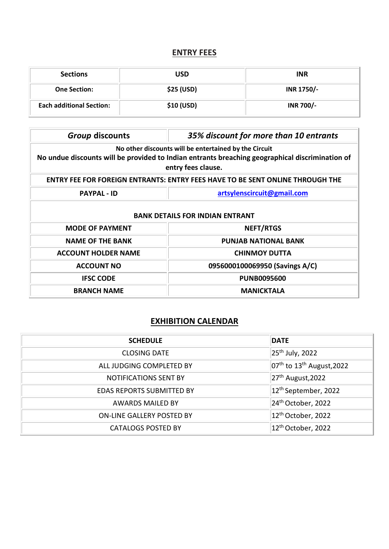# **ENTRY FEES**

| <b>Sections</b>                 | USD               | <b>INR</b>       |
|---------------------------------|-------------------|------------------|
| <b>One Section:</b>             | <b>\$25 (USD)</b> | INR 1750/-       |
| <b>Each additional Section:</b> | \$10 (USD)        | <b>INR 700/-</b> |

| <b>Group discounts</b>                                                                                                                                                         | 35% discount for more than 10 entrants |  |  |
|--------------------------------------------------------------------------------------------------------------------------------------------------------------------------------|----------------------------------------|--|--|
| No other discounts will be entertained by the Circuit<br>No undue discounts will be provided to Indian entrants breaching geographical discrimination of<br>entry fees clause. |                                        |  |  |
| <b>ENTRY FEE FOR FOREIGN ENTRANTS: ENTRY FEES HAVE TO BE SENT ONLINE THROUGH THE</b>                                                                                           |                                        |  |  |
| artsylenscircuit@gmail.com<br><b>PAYPAL - ID</b>                                                                                                                               |                                        |  |  |
| <b>BANK DETAILS FOR INDIAN ENTRANT</b>                                                                                                                                         |                                        |  |  |
| <b>MODE OF PAYMENT</b>                                                                                                                                                         | <b>NEFT/RTGS</b>                       |  |  |
| <b>NAME OF THE BANK</b><br><b>PUNJAB NATIONAL BANK</b>                                                                                                                         |                                        |  |  |
| <b>ACCOUNT HOLDER NAME</b>                                                                                                                                                     | <b>CHINMOY DUTTA</b>                   |  |  |
| 0956000100069950 (Savings A/C)<br><b>ACCOUNT NO</b>                                                                                                                            |                                        |  |  |
| <b>IFSC CODE</b><br><b>PUNB0095600</b>                                                                                                                                         |                                        |  |  |
| <b>BRANCH NAME</b><br><b>MANICKTALA</b>                                                                                                                                        |                                        |  |  |

# **EXHIBITION CALENDAR**

| <b>SCHEDULE</b>                  | <b>DATE</b>                                        |  |
|----------------------------------|----------------------------------------------------|--|
| <b>CLOSING DATE</b>              | $25th$ July, 2022                                  |  |
| ALL JUDGING COMPLETED BY         | $ 07^{\text{th}}$ to 13 <sup>th</sup> August, 2022 |  |
| <b>NOTIFICATIONS SENT BY</b>     | $27th$ August, 2022                                |  |
| <b>EDAS REPORTS SUBMITTED BY</b> | 12 <sup>th</sup> September, 2022                   |  |
| <b>AWARDS MAILED BY</b>          | 24 <sup>th</sup> October, 2022                     |  |
| ON-LINE GALLERY POSTED BY        | 12 <sup>th</sup> October, 2022                     |  |
| <b>CATALOGS POSTED BY</b>        | 12 <sup>th</sup> October, 2022                     |  |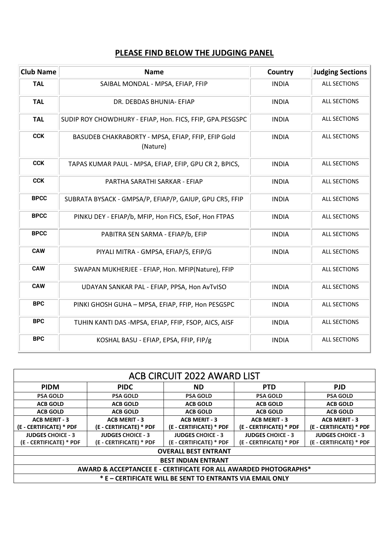# **PLEASE FIND BELOW THE JUDGING PANEL**

| <b>Club Name</b> | <b>Name</b>                                                    | Country      | <b>Judging Sections</b> |
|------------------|----------------------------------------------------------------|--------------|-------------------------|
| <b>TAL</b>       | SAIBAL MONDAL - MPSA, EFIAP, FFIP                              | <b>INDIA</b> | <b>ALL SECTIONS</b>     |
| <b>TAL</b>       | DR. DEBDAS BHUNIA- EFIAP                                       | <b>INDIA</b> | <b>ALL SECTIONS</b>     |
| <b>TAL</b>       | SUDIP ROY CHOWDHURY - EFIAP, Hon. FICS, FFIP, GPA.PESGSPC      | <b>INDIA</b> | <b>ALL SECTIONS</b>     |
| <b>CCK</b>       | BASUDEB CHAKRABORTY - MPSA, EFIAP, FFIP, EFIP Gold<br>(Nature) | <b>INDIA</b> | <b>ALL SECTIONS</b>     |
| <b>CCK</b>       | TAPAS KUMAR PAUL - MPSA, EFIAP, EFIP, GPU CR 2, BPICS,         | <b>INDIA</b> | <b>ALL SECTIONS</b>     |
| <b>CCK</b>       | PARTHA SARATHI SARKAR - EFIAP                                  | <b>INDIA</b> | <b>ALL SECTIONS</b>     |
| <b>BPCC</b>      | SUBRATA BYSACK - GMPSA/P, EFIAP/P, GAIUP, GPU CR5, FFIP        | <b>INDIA</b> | <b>ALL SECTIONS</b>     |
| <b>BPCC</b>      | PINKU DEY - EFIAP/b, MFIP, Hon FICS, ESoF, Hon FTPAS           | <b>INDIA</b> | <b>ALL SECTIONS</b>     |
| <b>BPCC</b>      | PABITRA SEN SARMA - EFIAP/b, EFIP                              | <b>INDIA</b> | <b>ALL SECTIONS</b>     |
| <b>CAW</b>       | PIYALI MITRA - GMPSA, EFIAP/S, EFIP/G                          | <b>INDIA</b> | <b>ALL SECTIONS</b>     |
| <b>CAW</b>       | SWAPAN MUKHERJEE - EFIAP, Hon. MFIP(Nature), FFIP              |              | <b>ALL SECTIONS</b>     |
| <b>CAW</b>       | UDAYAN SANKAR PAL - EFIAP, PPSA, Hon AvTvISO                   | <b>INDIA</b> | <b>ALL SECTIONS</b>     |
| <b>BPC</b>       | PINKI GHOSH GUHA - MPSA, EFIAP, FFIP, Hon PESGSPC              | <b>INDIA</b> | <b>ALL SECTIONS</b>     |
| <b>BPC</b>       | TUHIN KANTI DAS -MPSA, EFIAP, FFIP, FSOP, AICS, AISF           | <b>INDIA</b> | <b>ALL SECTIONS</b>     |
| <b>BPC</b>       | KOSHAL BASU - EFIAP, EPSA, FFIP, FIP/g                         | <b>INDIA</b> | <b>ALL SECTIONS</b>     |

| ACB CIRCUIT 2022 AWARD LIST                                      |                          |                          |                          |                          |
|------------------------------------------------------------------|--------------------------|--------------------------|--------------------------|--------------------------|
| <b>PIDM</b>                                                      | <b>PIDC</b>              | ND.                      | <b>PTD</b>               | <b>PJD</b>               |
| <b>PSA GOLD</b>                                                  | <b>PSA GOLD</b>          | <b>PSA GOLD</b>          | <b>PSA GOLD</b>          | <b>PSA GOLD</b>          |
| <b>ACB GOLD</b>                                                  | <b>ACB GOLD</b>          | <b>ACB GOLD</b>          | <b>ACB GOLD</b>          | <b>ACB GOLD</b>          |
| <b>ACB GOLD</b>                                                  | <b>ACB GOLD</b>          | <b>ACB GOLD</b>          | <b>ACB GOLD</b>          | <b>ACB GOLD</b>          |
| <b>ACB MERIT - 3</b>                                             | <b>ACB MERIT - 3</b>     | <b>ACB MERIT - 3</b>     | <b>ACB MERIT - 3</b>     | <b>ACB MERIT - 3</b>     |
| (E - CERTIFICATE) * PDF                                          | (E - CERTIFICATE) * PDF  | (E - CERTIFICATE) * PDF  | (E - CERTIFICATE) * PDF  | (E - CERTIFICATE) * PDF  |
| <b>JUDGES CHOICE - 3</b>                                         | <b>JUDGES CHOICE - 3</b> | <b>JUDGES CHOICE - 3</b> | <b>JUDGES CHOICE - 3</b> | <b>JUDGES CHOICE - 3</b> |
| (E - CERTIFICATE) * PDF                                          | (E - CERTIFICATE) * PDF  | (E - CERTIFICATE) * PDF  | (E - CERTIFICATE) * PDF  | (E - CERTIFICATE) * PDF  |
| <b>OVERALL BEST ENTRANT</b>                                      |                          |                          |                          |                          |
| <b>BEST INDIAN ENTRANT</b>                                       |                          |                          |                          |                          |
| AWARD & ACCEPTANCEE E - CERTIFICATE FOR ALL AWARDED PHOTOGRAPHS* |                          |                          |                          |                          |
| * E - CERTIFICATE WILL BE SENT TO ENTRANTS VIA EMAIL ONLY        |                          |                          |                          |                          |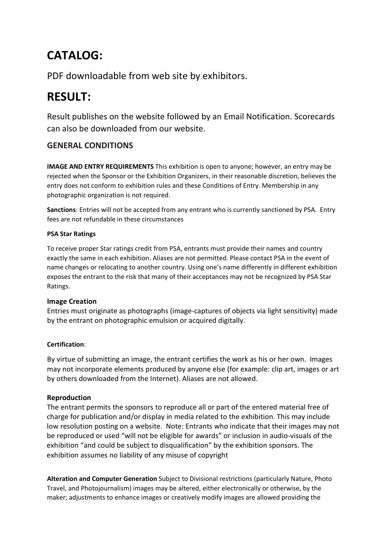# **CATALOG:**

PDF downloadable from web site by exhibitors.

# **RESULT:**

Result publishes on the website followed by an Email Notification. Scorecards can also be downloaded from our website.

# **GENERAL CONDITIONS**

**IMAGE AND ENTRY REQUIREMENTS** This exhibition is open to anyone; however, an entry may be rejected when the Sponsor or the Exhibition Organizers, in their reasonable discretion, believes the entry does not conform to exhibition rules and these Conditions of Entry. Membership in any photographic organization is not required.

**Sanctions**: Entries will not be accepted from any entrant who is currently sanctioned by PSA. Entry fees are not refundable in these circumstances

## **PSA Star Ratings**

To receive proper Star ratings credit from PSA, entrants must provide their names and country exactly the same in each exhibition. Aliases are not permitted. Please contact PSA in the event of name changes or relocating to another country. Using one's name differently in different exhibition exposes the entrant to the risk that many of their acceptances may not be recognized by PSA Star Ratings.

## **Image Creation**

Entries must originate as photographs (image-captures of objects via light sensitivity) made by the entrant on photographic emulsion or acquired digitally.

## **Certification**:

By virtue of submitting an image, the entrant certifies the work as his or her own. Images may not incorporate elements produced by anyone else (for example: clip art, images or art by others downloaded from the Internet). Aliases are not allowed.

## **Reproduction**

The entrant permits the sponsors to reproduce all or part of the entered material free of charge for publication and/or display in media related to the exhibition. This may include low resolution posting on a website. Note: Entrants who indicate that their images may not be reproduced or used "will not be eligible for awards" or inclusion in audio-visuals of the exhibition "and could be subject to disqualification" by the exhibition sponsors. The exhibition assumes no liability of any misuse of copyright

**Alteration and Computer Generation** Subject to Divisional restrictions (particularly Nature, Photo Travel, and Photojournalism) images may be altered, either electronically or otherwise, by the maker; adjustments to enhance images or creatively modify images are allowed providing the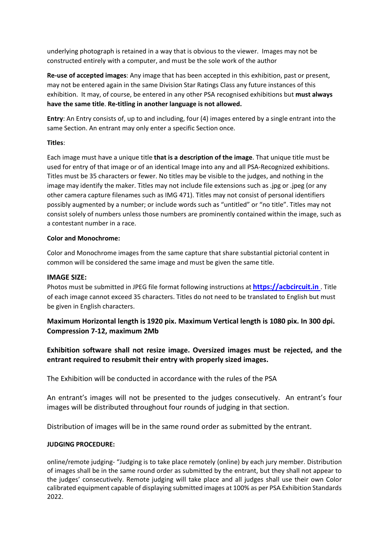underlying photograph is retained in a way that is obvious to the viewer. Images may not be constructed entirely with a computer, and must be the sole work of the author

**Re-use of accepted images**: Any image that has been accepted in this exhibition, past or present, may not be entered again in the same Division Star Ratings Class any future instances of this exhibition. It may, of course, be entered in any other PSA recognised exhibitions but **must always have the same title**. **Re-titling in another language is not allowed.**

**Entry**: An Entry consists of, up to and including, four (4) images entered by a single entrant into the same Section. An entrant may only enter a specific Section once.

#### **Titles**:

Each image must have a unique title **that is a description of the image**. That unique title must be used for entry of that image or of an identical Image into any and all PSA-Recognized exhibitions. Titles must be 35 characters or fewer. No titles may be visible to the judges, and nothing in the image may identify the maker. Titles may not include file extensions such as .jpg or .jpeg (or any other camera capture filenames such as IMG 471). Titles may not consist of personal identifiers possibly augmented by a number; or include words such as "untitled" or "no title". Titles may not consist solely of numbers unless those numbers are prominently contained within the image, such as a contestant number in a race.

#### **Color and Monochrome:**

Color and Monochrome images from the same capture that share substantial pictorial content in common will be considered the same image and must be given the same title.

#### **IMAGE SIZE:**

Photos must be submitted in JPEG file format following instructions at **[https://acbcircuit.in](https://acbcircuit.in/)** . Title of each image cannot exceed 35 characters. Titles do not need to be translated to English but must be given in English characters.

**Maximum Horizontal length is 1920 pix. Maximum Vertical length is 1080 pix. In 300 dpi. Compression 7-12, maximum 2Mb**

**Exhibition software shall not resize image. Oversized images must be rejected, and the entrant required to resubmit their entry with properly sized images.**

The Exhibition will be conducted in accordance with the rules of the PSA

An entrant's images will not be presented to the judges consecutively. An entrant's four images will be distributed throughout four rounds of judging in that section.

Distribution of images will be in the same round order as submitted by the entrant.

#### **JUDGING PROCEDURE:**

online/remote judging- "Judging is to take place remotely (online) by each jury member. Distribution of images shall be in the same round order as submitted by the entrant, but they shall not appear to the judges' consecutively. Remote judging will take place and all judges shall use their own Color calibrated equipment capable of displaying submitted images at 100% as per PSA Exhibition Standards 2022.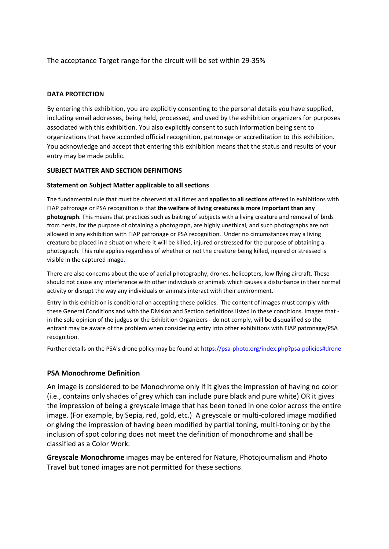The acceptance Target range for the circuit will be set within 29-35%

#### **DATA PROTECTION**

By entering this exhibition, you are explicitly consenting to the personal details you have supplied, including email addresses, being held, processed, and used by the exhibition organizers for purposes associated with this exhibition. You also explicitly consent to such information being sent to organizations that have accorded official recognition, patronage or accreditation to this exhibition. You acknowledge and accept that entering this exhibition means that the status and results of your entry may be made public.

#### **SUBJECT MATTER AND SECTION DEFINITIONS**

#### **Statement on Subject Matter applicable to all sections**

The fundamental rule that must be observed at all times and **applies to all sections** offered in exhibitions with FIAP patronage or PSA recognition is that **the welfare of living creatures is more important than any photograph**. This means that practices such as baiting of subjects with a living creature and removal of birds from nests, for the purpose of obtaining a photograph, are highly unethical, and such photographs are not allowed in any exhibition with FIAP patronage or PSA recognition. Under no circumstances may a living creature be placed in a situation where it will be killed, injured or stressed for the purpose of obtaining a photograph. This rule applies regardless of whether or not the creature being killed, injured or stressed is visible in the captured image.

There are also concerns about the use of aerial photography, drones, helicopters, low flying aircraft. These should not cause any interference with other individuals or animals which causes a disturbance in their normal activity or disrupt the way any individuals or animals interact with their environment.

Entry in this exhibition is conditional on accepting these policies. The content of images must comply with these General Conditions and with the Division and Section definitions listed in these conditions. Images that in the sole opinion of the judges or the Exhibition Organizers - do not comply, will be disqualified so the entrant may be aware of the problem when considering entry into other exhibitions with FIAP patronage/PSA recognition.

Further details on the PSA's drone policy may be found at [https://psa-photo.org/index.php?psa-policies#drone](https://psa-photo.org/index.php?psa-policies%23drone)

#### **PSA Monochrome Definition**

An image is considered to be Monochrome only if it gives the impression of having no color (i.e., contains only shades of grey which can include pure black and pure white) OR it gives the impression of being a greyscale image that has been toned in one color across the entire image. (For example, by Sepia, red, gold, etc.) A greyscale or multi-colored image modified or giving the impression of having been modified by partial toning, multi-toning or by the inclusion of spot coloring does not meet the definition of monochrome and shall be classified as a Color Work.

**Greyscale Monochrome** images may be entered for Nature, Photojournalism and Photo Travel but toned images are not permitted for these sections.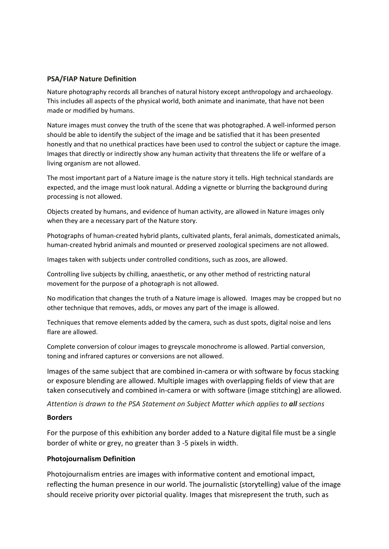#### **PSA/FIAP Nature Definition**

Nature photography records all branches of natural history except anthropology and archaeology. This includes all aspects of the physical world, both animate and inanimate, that have not been made or modified by humans.

Nature images must convey the truth of the scene that was photographed. A well-informed person should be able to identify the subject of the image and be satisfied that it has been presented honestly and that no unethical practices have been used to control the subject or capture the image. Images that directly or indirectly show any human activity that threatens the life or welfare of a living organism are not allowed.

The most important part of a Nature image is the nature story it tells. High technical standards are expected, and the image must look natural. Adding a vignette or blurring the background during processing is not allowed.

Objects created by humans, and evidence of human activity, are allowed in Nature images only when they are a necessary part of the Nature story.

Photographs of human-created hybrid plants, cultivated plants, feral animals, domesticated animals, human-created hybrid animals and mounted or preserved zoological specimens are not allowed.

Images taken with subjects under controlled conditions, such as zoos, are allowed.

Controlling live subjects by chilling, anaesthetic, or any other method of restricting natural movement for the purpose of a photograph is not allowed.

No modification that changes the truth of a Nature image is allowed. Images may be cropped but no other technique that removes, adds, or moves any part of the image is allowed.

Techniques that remove elements added by the camera, such as dust spots, digital noise and lens flare are allowed.

Complete conversion of colour images to greyscale monochrome is allowed. Partial conversion, toning and infrared captures or conversions are not allowed.

Images of the same subject that are combined in-camera or with software by focus stacking or exposure blending are allowed. Multiple images with overlapping fields of view that are taken consecutively and combined in-camera or with software (image stitching) are allowed.

*Attention is drawn to the PSA Statement on Subject Matter which applies to all sections*

#### **Borders**

For the purpose of this exhibition any border added to a Nature digital file must be a single border of white or grey, no greater than 3 -5 pixels in width.

#### **Photojournalism Definition**

Photojournalism entries are images with informative content and emotional impact, reflecting the human presence in our world. The journalistic (storytelling) value of the image should receive priority over pictorial quality. Images that misrepresent the truth, such as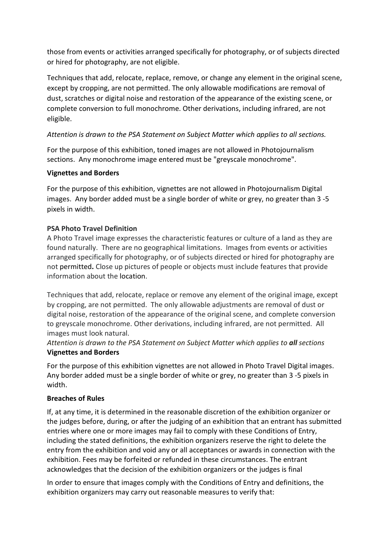those from events or activities arranged specifically for photography, or of subjects directed or hired for photography, are not eligible.

Techniques that add, relocate, replace, remove, or change any element in the original scene, except by cropping, are not permitted. The only allowable modifications are removal of dust, scratches or digital noise and restoration of the appearance of the existing scene, or complete conversion to full monochrome. Other derivations, including infrared, are not eligible.

## *Attention is drawn to the PSA Statement on Subject Matter which applies to all sections.*

For the purpose of this exhibition, toned images are not allowed in Photojournalism sections. Any monochrome image entered must be "greyscale monochrome".

## **Vignettes and Borders**

For the purpose of this exhibition, vignettes are not allowed in Photojournalism Digital images. Any border added must be a single border of white or grey, no greater than 3 -5 pixels in width.

## **PSA Photo Travel Definition**

A Photo Travel image expresses the characteristic features or culture of a land as they are found naturally. There are no geographical limitations. Images from events or activities arranged specifically for photography, or of subjects directed or hired for photography are not permitted**.** Close up pictures of people or objects must include features that provide information about the location.

Techniques that add, relocate, replace or remove any element of the original image, except by cropping, are not permitted. The only allowable adjustments are removal of dust or digital noise, restoration of the appearance of the original scene, and complete conversion to greyscale monochrome. Other derivations, including infrared, are not permitted. All images must look natural.

*Attention is drawn to the PSA Statement on Subject Matter which applies to all sections* **Vignettes and Borders**

For the purpose of this exhibition vignettes are not allowed in Photo Travel Digital images. Any border added must be a single border of white or grey, no greater than 3 -5 pixels in width.

## **Breaches of Rules**

If, at any time, it is determined in the reasonable discretion of the exhibition organizer or the judges before, during, or after the judging of an exhibition that an entrant has submitted entries where one or more images may fail to comply with these Conditions of Entry, including the stated definitions, the exhibition organizers reserve the right to delete the entry from the exhibition and void any or all acceptances or awards in connection with the exhibition. Fees may be forfeited or refunded in these circumstances. The entrant acknowledges that the decision of the exhibition organizers or the judges is final

In order to ensure that images comply with the Conditions of Entry and definitions, the exhibition organizers may carry out reasonable measures to verify that: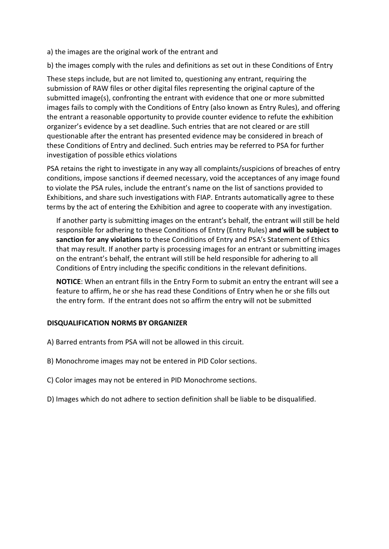a) the images are the original work of the entrant and

b) the images comply with the rules and definitions as set out in these Conditions of Entry

These steps include, but are not limited to, questioning any entrant, requiring the submission of RAW files or other digital files representing the original capture of the submitted image(s), confronting the entrant with evidence that one or more submitted images fails to comply with the Conditions of Entry (also known as Entry Rules), and offering the entrant a reasonable opportunity to provide counter evidence to refute the exhibition organizer's evidence by a set deadline. Such entries that are not cleared or are still questionable after the entrant has presented evidence may be considered in breach of these Conditions of Entry and declined. Such entries may be referred to PSA for further investigation of possible ethics violations

PSA retains the right to investigate in any way all complaints/suspicions of breaches of entry conditions, impose sanctions if deemed necessary, void the acceptances of any image found to violate the PSA rules, include the entrant's name on the list of sanctions provided to Exhibitions, and share such investigations with FIAP. Entrants automatically agree to these terms by the act of entering the Exhibition and agree to cooperate with any investigation.

If another party is submitting images on the entrant's behalf, the entrant will still be held responsible for adhering to these Conditions of Entry (Entry Rules) **and will be subject to sanction for any violations** to these Conditions of Entry and PSA's Statement of Ethics that may result. If another party is processing images for an entrant or submitting images on the entrant's behalf, the entrant will still be held responsible for adhering to all Conditions of Entry including the specific conditions in the relevant definitions.

**NOTICE**: When an entrant fills in the Entry Form to submit an entry the entrant will see a feature to affirm, he or she has read these Conditions of Entry when he or she fills out the entry form. If the entrant does not so affirm the entry will not be submitted

## **DISQUALIFICATION NORMS BY ORGANIZER**

- A) Barred entrants from PSA will not be allowed in this circuit.
- B) Monochrome images may not be entered in PID Color sections.
- C) Color images may not be entered in PID Monochrome sections.
- D) Images which do not adhere to section definition shall be liable to be disqualified.